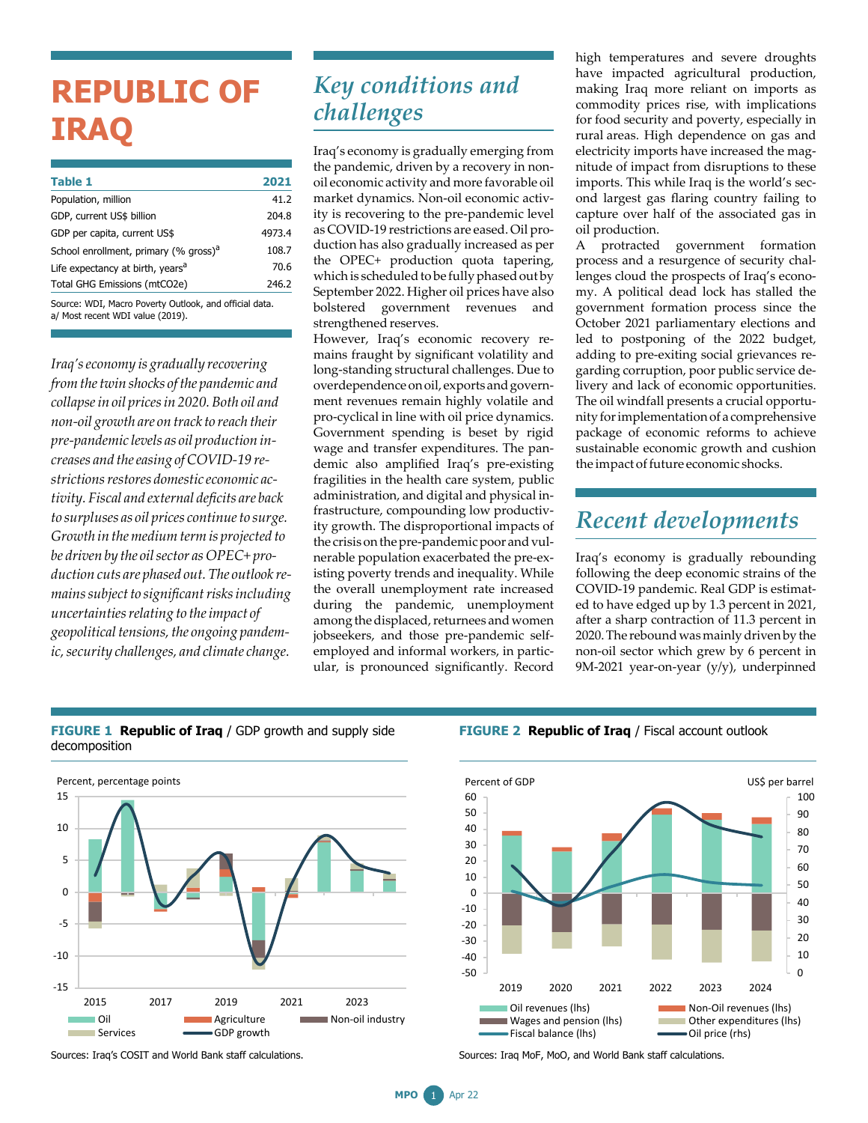# **REPUBLIC OF IRAQ**

| <b>Table 1</b>                                    | 2021   |
|---------------------------------------------------|--------|
| Population, million                               | 41.2   |
| GDP, current US\$ billion                         | 204.8  |
| GDP per capita, current US\$                      | 4973.4 |
| School enrollment, primary (% gross) <sup>a</sup> | 108.7  |
| Life expectancy at birth, years <sup>a</sup>      | 70.6   |
| Total GHG Emissions (mtCO2e)                      | 246.2  |
|                                                   |        |

Source: WDI, Macro Poverty Outlook, and official data. a/ Most recent WDI value (2019).

*Iraq'seconomy is gradually recovering fromthetwin shocks ofthe pandemic and collapsein oil pricesin 2020.Both oil and non-oil growth are on track to reach their pre-pandemic levels as oil production increases and theeasing ofCOVID-19 restrictionsrestores domestic economic activity. Fiscal and external deficits are back to surpluses as oil prices continueto surge. Growth in themediumtermis projected to be driven by the oil sector as OPEC+ production cuts are phased out.The outlook remains subject to significant risks including uncertaintiesrelating to theimpact of geopoliticaltensions,the ongoing pandemic,security challenges, and climate change.*

### *Key conditions and challenges*

Iraq's economy is gradually emerging from the pandemic, driven by a recovery in nonoil economic activity and more favorable oil market dynamics. Non-oil economic activity is recovering to the pre-pandemic level as COVID-19 restrictions are eased. Oil production has also gradually increased as per the OPEC+ production quota tapering, which is scheduled to be fully phased out by September 2022. Higher oil prices have also bolstered government revenues and strengthened reserves.

However, Iraq's economic recovery remains fraught by significant volatility and long-standing structural challenges. Due to overdependence on oil, exports and government revenues remain highly volatile and pro-cyclical in line with oil price dynamics. Government spending is beset by rigid wage and transfer expenditures. The pandemic also amplified Iraq's pre-existing fragilities in the health care system, public administration, and digital and physical infrastructure, compounding low productivity growth. The disproportional impacts of the crisis on the pre-pandemic poor and vulnerable population exacerbated the pre-existing poverty trends and inequality. While the overall unemployment rate increased during the pandemic, unemployment among the displaced, returnees and women jobseekers, and those pre-pandemic selfemployed and informal workers, in particular, is pronounced significantly. Record

high temperatures and severe droughts have impacted agricultural production, making Iraq more reliant on imports as commodity prices rise, with implications for food security and poverty, especially in rural areas. High dependence on gas and electricity imports have increased the magnitude of impact from disruptions to these imports. This while Iraq is the world's second largest gas flaring country failing to capture over half of the associated gas in oil production.

A protracted government formation process and a resurgence of security challenges cloud the prospects of Iraq's economy. A political dead lock has stalled the government formation process since the October 2021 parliamentary elections and led to postponing of the 2022 budget, adding to pre-exiting social grievances regarding corruption, poor public service delivery and lack of economic opportunities. The oil windfall presents a crucial opportunity for implementation of a comprehensive package of economic reforms to achieve sustainable economic growth and cushion the impact of future economic shocks.

### *Recent developments*

Iraq's economy is gradually rebounding following the deep economic strains of the COVID-19 pandemic. Real GDP is estimated to have edged up by 1.3 percent in 2021, after a sharp contraction of 11.3 percent in 2020. The rebound was mainly driven by the non-oil sector which grew by 6 percent in 9M-2021 year-on-year (y/y), underpinned

#### **FIGURE 1 Republic of Iraq** / GDP growth and supply side decomposition



**FIGURE 2 Republic of Iraq** / Fiscal account outlook



Sources: Iraq MoF, MoO, and World Bank staff calculations.

**MPO** 1 Apr 22